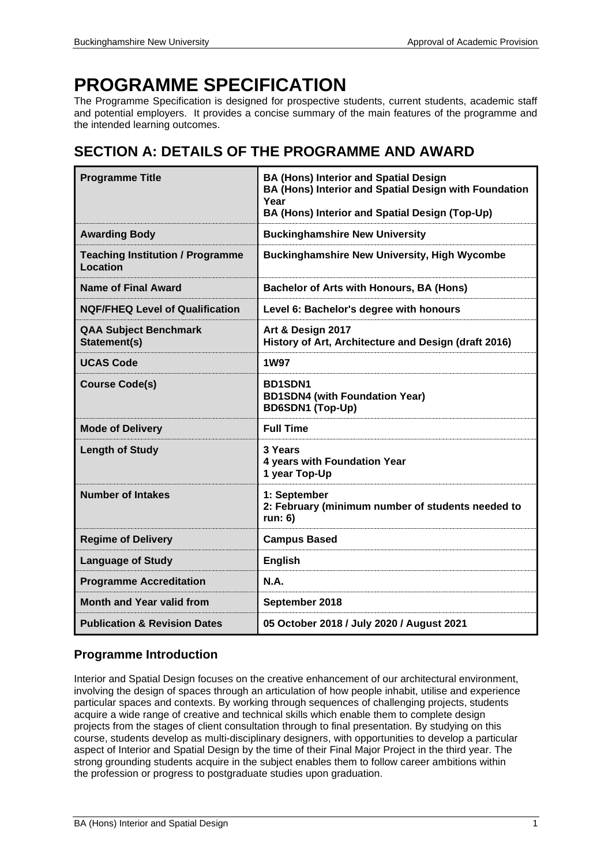# **PROGRAMME SPECIFICATION**

The Programme Specification is designed for prospective students, current students, academic staff and potential employers. It provides a concise summary of the main features of the programme and the intended learning outcomes.

## **SECTION A: DETAILS OF THE PROGRAMME AND AWARD**

| <b>Programme Title</b>                              | <b>BA (Hons) Interior and Spatial Design</b><br>BA (Hons) Interior and Spatial Design with Foundation<br>Year<br>BA (Hons) Interior and Spatial Design (Top-Up) |
|-----------------------------------------------------|-----------------------------------------------------------------------------------------------------------------------------------------------------------------|
| <b>Awarding Body</b>                                | <b>Buckinghamshire New University</b>                                                                                                                           |
| <b>Teaching Institution / Programme</b><br>Location | <b>Buckinghamshire New University, High Wycombe</b>                                                                                                             |
| <b>Name of Final Award</b>                          | <b>Bachelor of Arts with Honours, BA (Hons)</b>                                                                                                                 |
| <b>NQF/FHEQ Level of Qualification</b>              | Level 6: Bachelor's degree with honours                                                                                                                         |
| <b>QAA Subject Benchmark</b><br>Statement(s)        | Art & Design 2017<br>History of Art, Architecture and Design (draft 2016)                                                                                       |
| <b>UCAS Code</b>                                    | <b>1W97</b>                                                                                                                                                     |
| <b>Course Code(s)</b>                               | <b>BD1SDN1</b><br><b>BD1SDN4 (with Foundation Year)</b><br><b>BD6SDN1 (Top-Up)</b>                                                                              |
| <b>Mode of Delivery</b>                             | <b>Full Time</b>                                                                                                                                                |
| <b>Length of Study</b>                              | 3 Years<br>4 years with Foundation Year<br>1 year Top-Up                                                                                                        |
| <b>Number of Intakes</b>                            | 1: September<br>2: February (minimum number of students needed to<br>run: 6)                                                                                    |
| <b>Regime of Delivery</b>                           | <b>Campus Based</b>                                                                                                                                             |
| <b>Language of Study</b>                            | <b>English</b>                                                                                                                                                  |
| <b>Programme Accreditation</b>                      | <b>N.A.</b>                                                                                                                                                     |
| <b>Month and Year valid from</b>                    | September 2018                                                                                                                                                  |
| <b>Publication &amp; Revision Dates</b>             | 05 October 2018 / July 2020 / August 2021                                                                                                                       |

## **Programme Introduction**

Interior and Spatial Design focuses on the creative enhancement of our architectural environment, involving the design of spaces through an articulation of how people inhabit, utilise and experience particular spaces and contexts. By working through sequences of challenging projects, students acquire a wide range of creative and technical skills which enable them to complete design projects from the stages of client consultation through to final presentation. By studying on this course, students develop as multi-disciplinary designers, with opportunities to develop a particular aspect of Interior and Spatial Design by the time of their Final Major Project in the third year. The strong grounding students acquire in the subject enables them to follow career ambitions within the profession or progress to postgraduate studies upon graduation.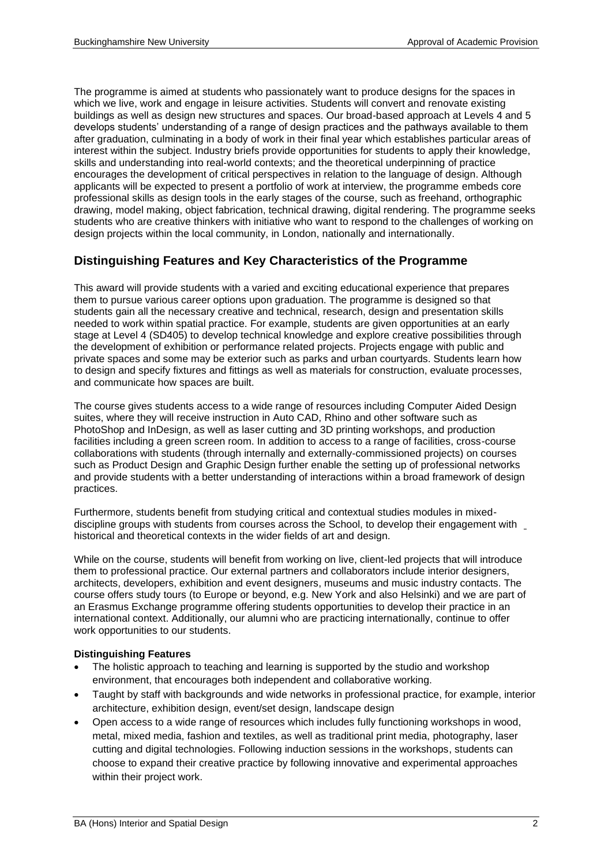The programme is aimed at students who passionately want to produce designs for the spaces in which we live, work and engage in leisure activities. Students will convert and renovate existing buildings as well as design new structures and spaces. Our broad-based approach at Levels 4 and 5 develops students' understanding of a range of design practices and the pathways available to them after graduation, culminating in a body of work in their final year which establishes particular areas of interest within the subject. Industry briefs provide opportunities for students to apply their knowledge, skills and understanding into real-world contexts; and the theoretical underpinning of practice encourages the development of critical perspectives in relation to the language of design. Although applicants will be expected to present a portfolio of work at interview, the programme embeds core professional skills as design tools in the early stages of the course, such as freehand, orthographic drawing, model making, object fabrication, technical drawing, digital rendering. The programme seeks students who are creative thinkers with initiative who want to respond to the challenges of working on design projects within the local community, in London, nationally and internationally.

## **Distinguishing Features and Key Characteristics of the Programme**

This award will provide students with a varied and exciting educational experience that prepares them to pursue various career options upon graduation. The programme is designed so that students gain all the necessary creative and technical, research, design and presentation skills needed to work within spatial practice. For example, students are given opportunities at an early stage at Level 4 (SD405) to develop technical knowledge and explore creative possibilities through the development of exhibition or performance related projects. Projects engage with public and private spaces and some may be exterior such as parks and urban courtyards. Students learn how to design and specify fixtures and fittings as well as materials for construction, evaluate processes, and communicate how spaces are built.

The course gives students access to a wide range of resources including Computer Aided Design suites, where they will receive instruction in Auto CAD, Rhino and other software such as PhotoShop and InDesign, as well as laser cutting and 3D printing workshops, and production facilities including a green screen room. In addition to access to a range of facilities, cross-course collaborations with students (through internally and externally-commissioned projects) on courses such as Product Design and Graphic Design further enable the setting up of professional networks and provide students with a better understanding of interactions within a broad framework of design practices.

Furthermore, students benefit from studying critical and contextual studies modules in mixeddiscipline groups with students from courses across the School, to develop their engagement with historical and theoretical contexts in the wider fields of art and design.

While on the course, students will benefit from working on live, client-led projects that will introduce them to professional practice. Our external partners and collaborators include interior designers, architects, developers, exhibition and event designers, museums and music industry contacts. The course offers study tours (to Europe or beyond, e.g. New York and also Helsinki) and we are part of an Erasmus Exchange programme offering students opportunities to develop their practice in an international context. Additionally, our alumni who are practicing internationally, continue to offer work opportunities to our students.

#### **Distinguishing Features**

- The holistic approach to teaching and learning is supported by the studio and workshop environment, that encourages both independent and collaborative working.
- Taught by staff with backgrounds and wide networks in professional practice, for example, interior architecture, exhibition design, event/set design, landscape design
- Open access to a wide range of resources which includes fully functioning workshops in wood, metal, mixed media, fashion and textiles, as well as traditional print media, photography, laser cutting and digital technologies. Following induction sessions in the workshops, students can choose to expand their creative practice by following innovative and experimental approaches within their project work.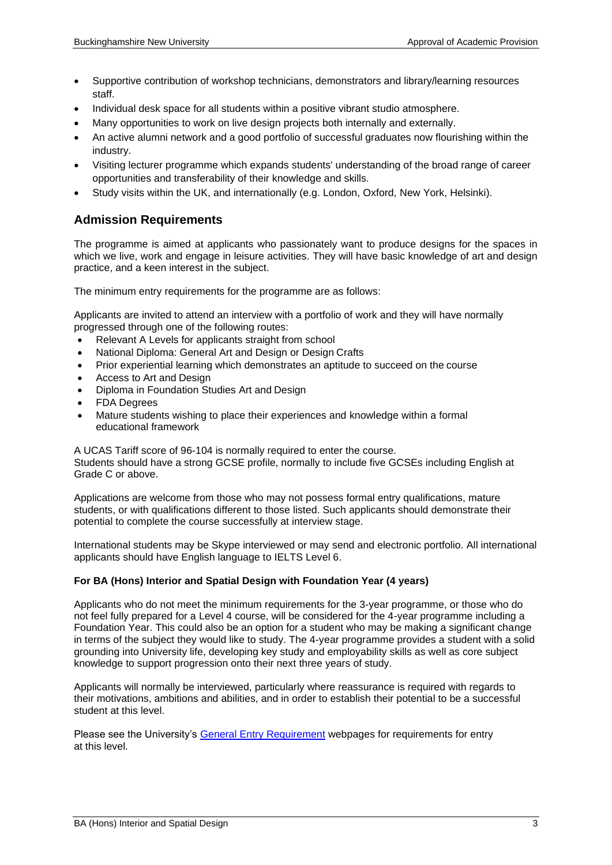- Supportive contribution of workshop technicians, demonstrators and library/learning resources staff.
- Individual desk space for all students within a positive vibrant studio atmosphere.
- Many opportunities to work on live design projects both internally and externally.
- An active alumni network and a good portfolio of successful graduates now flourishing within the industry.
- Visiting lecturer programme which expands students' understanding of the broad range of career opportunities and transferability of their knowledge and skills.
- Study visits within the UK, and internationally (e.g. London, Oxford, New York, Helsinki).

### **Admission Requirements**

The programme is aimed at applicants who passionately want to produce designs for the spaces in which we live, work and engage in leisure activities. They will have basic knowledge of art and design practice, and a keen interest in the subject.

The minimum entry requirements for the programme are as follows:

Applicants are invited to attend an interview with a portfolio of work and they will have normally progressed through one of the following routes:

- Relevant A Levels for applicants straight from school
- National Diploma: General Art and Design or Design Crafts
- Prior experiential learning which demonstrates an aptitude to succeed on the course
- Access to Art and Design
- Diploma in Foundation Studies Art and Design
- FDA Degrees
- Mature students wishing to place their experiences and knowledge within a formal educational framework

A UCAS Tariff score of 96-104 is normally required to enter the course. Students should have a strong GCSE profile, normally to include five GCSEs including English at Grade C or above.

Applications are welcome from those who may not possess formal entry qualifications, mature students, or with qualifications different to those listed. Such applicants should demonstrate their potential to complete the course successfully at interview stage.

International students may be Skype interviewed or may send and electronic portfolio. All international applicants should have English language to IELTS Level 6.

#### **For BA (Hons) Interior and Spatial Design with Foundation Year (4 years)**

Applicants who do not meet the minimum requirements for the 3-year programme, or those who do not feel fully prepared for a Level 4 course, will be considered for the 4-year programme including a Foundation Year. This could also be an option for a student who may be making a significant change in terms of the subject they would like to study. The 4-year programme provides a student with a solid grounding into University life, developing key study and employability skills as well as core subject knowledge to support progression onto their next three years of study.

Applicants will normally be interviewed, particularly where reassurance is required with regards to their motivations, ambitions and abilities, and in order to establish their potential to be a successful student at this level.

Please see the University's [General Entry Requirement](https://bucks.ac.uk/applying-to-bucks/general-admissions-criteria) webpages for requirements for entry at this level.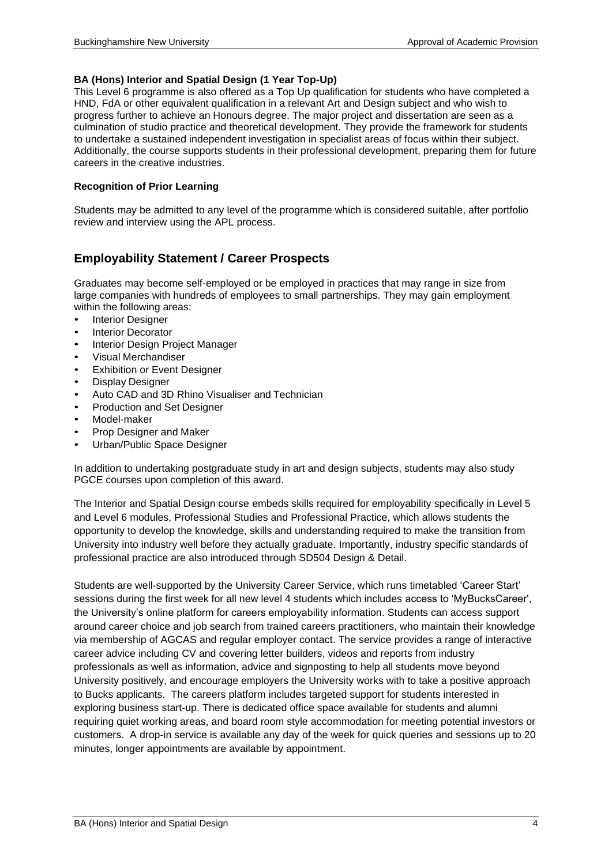#### **BA (Hons) Interior and Spatial Design (1 Year Top-Up)**

This Level 6 programme is also offered as a Top Up qualification for students who have completed a HND, FdA or other equivalent qualification in a relevant Art and Design subject and who wish to progress further to achieve an Honours degree. The major project and dissertation are seen as a culmination of studio practice and theoretical development. They provide the framework for students to undertake a sustained independent investigation in specialist areas of focus within their subject. Additionally, the course supports students in their professional development, preparing them for future careers in the creative industries.

#### **Recognition of Prior Learning**

Students may be admitted to any level of the programme which is considered suitable, after portfolio review and interview using the APL process.

## **Employability Statement / Career Prospects**

Graduates may become self-employed or be employed in practices that may range in size from large companies with hundreds of employees to small partnerships. They may gain employment within the following areas:

- **Interior Designer**
- **Interior Decorator**
- Interior Design Project Manager
- Visual Merchandiser
- **Exhibition or Event Designer**
- Display Designer
- Auto CAD and 3D Rhino Visualiser and Technician
- Production and Set Designer
- Model-maker
- Prop Designer and Maker
- Urban/Public Space Designer

In addition to undertaking postgraduate study in art and design subjects, students may also study PGCE courses upon completion of this award.

The Interior and Spatial Design course embeds skills required for employability specifically in Level 5 and Level 6 modules, Professional Studies and Professional Practice, which allows students the opportunity to develop the knowledge, skills and understanding required to make the transition from University into industry well before they actually graduate. Importantly, industry specific standards of professional practice are also introduced through SD504 Design & Detail.

Students are well-supported by the University Career Service, which runs timetabled 'Career Start' sessions during the first week for all new level 4 students which includes access to 'MyBucksCareer', the University's online platform for careers employability information. Students can access support around career choice and job search from trained careers practitioners, who maintain their knowledge via membership of AGCAS and regular employer contact. The service provides a range of interactive career advice including CV and covering letter builders, videos and reports from industry professionals as well as information, advice and signposting to help all students move beyond University positively, and encourage employers the University works with to take a positive approach to Bucks applicants. The careers platform includes targeted support for students interested in exploring business start-up. There is dedicated office space available for students and alumni requiring quiet working areas, and board room style accommodation for meeting potential investors or customers. A drop-in service is available any day of the week for quick queries and sessions up to 20 minutes, longer appointments are available by appointment.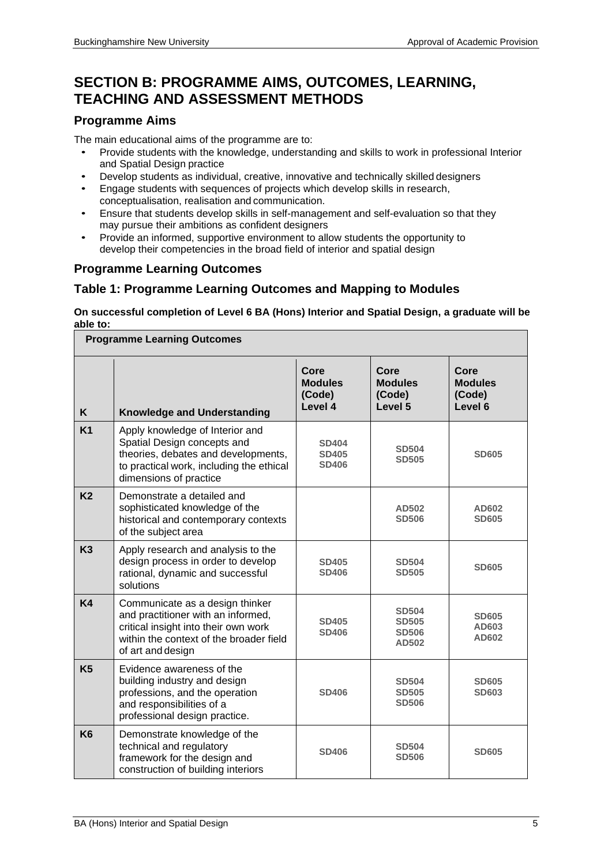## **SECTION B: PROGRAMME AIMS, OUTCOMES, LEARNING, TEACHING AND ASSESSMENT METHODS**

## **Programme Aims**

The main educational aims of the programme are to:

- Provide students with the knowledge, understanding and skills to work in professional Interior and Spatial Design practice
- Develop students as individual, creative, innovative and technically skilled designers
- Engage students with sequences of projects which develop skills in research, conceptualisation, realisation and communication.
- Ensure that students develop skills in self-management and self-evaluation so that they may pursue their ambitions as confident designers
- Provide an informed, supportive environment to allow students the opportunity to develop their competencies in the broad field of interior and spatial design

## **Programme Learning Outcomes**

## **Table 1: Programme Learning Outcomes and Mapping to Modules**

**On successful completion of Level 6 BA (Hons) Interior and Spatial Design, a graduate will be able to:**

|                | <b>Programme Learning Outcomes</b>                                                                                                                                            |                                              |                                                       |                                             |
|----------------|-------------------------------------------------------------------------------------------------------------------------------------------------------------------------------|----------------------------------------------|-------------------------------------------------------|---------------------------------------------|
| K              | <b>Knowledge and Understanding</b>                                                                                                                                            | Core<br><b>Modules</b><br>(Code)<br>Level 4  | Core<br><b>Modules</b><br>(Code)<br>Level 5           | Core<br><b>Modules</b><br>(Code)<br>Level 6 |
| K <sub>1</sub> | Apply knowledge of Interior and<br>Spatial Design concepts and<br>theories, debates and developments,<br>to practical work, including the ethical<br>dimensions of practice   | <b>SD404</b><br><b>SD405</b><br><b>SD406</b> | <b>SD504</b><br><b>SD505</b>                          | <b>SD605</b>                                |
| <b>K2</b>      | Demonstrate a detailed and<br>sophisticated knowledge of the<br>historical and contemporary contexts<br>of the subject area                                                   |                                              | AD502<br><b>SD506</b>                                 | AD602<br><b>SD605</b>                       |
| K3             | Apply research and analysis to the<br>design process in order to develop<br>rational, dynamic and successful<br>solutions                                                     | <b>SD405</b><br><b>SD406</b>                 | <b>SD504</b><br><b>SD505</b>                          | <b>SD605</b>                                |
| <b>K4</b>      | Communicate as a design thinker<br>and practitioner with an informed,<br>critical insight into their own work<br>within the context of the broader field<br>of art and design | <b>SD405</b><br><b>SD406</b>                 | <b>SD504</b><br><b>SD505</b><br><b>SD506</b><br>AD502 | <b>SD605</b><br>AD603<br>AD602              |
| K <sub>5</sub> | Evidence awareness of the<br>building industry and design<br>professions, and the operation<br>and responsibilities of a<br>professional design practice.                     | <b>SD406</b>                                 | <b>SD504</b><br><b>SD505</b><br><b>SD506</b>          | <b>SD605</b><br><b>SD603</b>                |
| K <sub>6</sub> | Demonstrate knowledge of the<br>technical and regulatory<br>framework for the design and<br>construction of building interiors                                                | <b>SD406</b>                                 | <b>SD504</b><br><b>SD506</b>                          | <b>SD605</b>                                |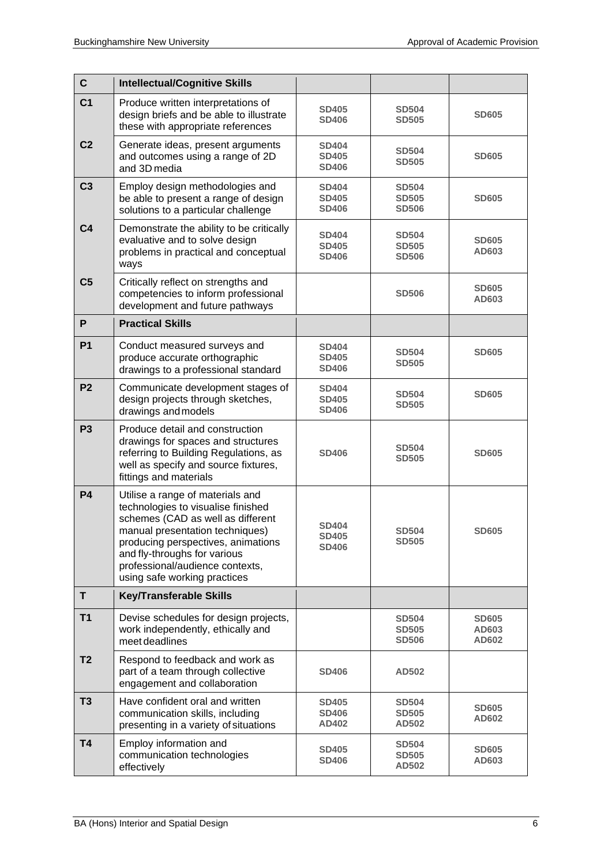| $\mathbf c$    | <b>Intellectual/Cognitive Skills</b>                                                                                                                                                                                                                                                    |                                              |                                              |                                |  |  |
|----------------|-----------------------------------------------------------------------------------------------------------------------------------------------------------------------------------------------------------------------------------------------------------------------------------------|----------------------------------------------|----------------------------------------------|--------------------------------|--|--|
| C <sub>1</sub> | Produce written interpretations of<br>design briefs and be able to illustrate<br>these with appropriate references                                                                                                                                                                      | <b>SD405</b><br><b>SD406</b>                 | <b>SD504</b><br><b>SD505</b>                 | <b>SD605</b>                   |  |  |
| C <sub>2</sub> | Generate ideas, present arguments<br>and outcomes using a range of 2D<br>and 3D media                                                                                                                                                                                                   | <b>SD404</b><br><b>SD405</b><br><b>SD406</b> | <b>SD504</b><br><b>SD505</b>                 | <b>SD605</b>                   |  |  |
| C <sub>3</sub> | Employ design methodologies and<br>be able to present a range of design<br>solutions to a particular challenge                                                                                                                                                                          | <b>SD404</b><br><b>SD405</b><br><b>SD406</b> | <b>SD504</b><br><b>SD505</b><br><b>SD506</b> | <b>SD605</b>                   |  |  |
| C <sub>4</sub> | Demonstrate the ability to be critically<br>evaluative and to solve design<br>problems in practical and conceptual<br>ways                                                                                                                                                              | <b>SD404</b><br><b>SD405</b><br><b>SD406</b> | <b>SD504</b><br><b>SD505</b><br><b>SD506</b> | <b>SD605</b><br>AD603          |  |  |
| C <sub>5</sub> | Critically reflect on strengths and<br>competencies to inform professional<br>development and future pathways                                                                                                                                                                           |                                              | <b>SD506</b>                                 | <b>SD605</b><br>AD603          |  |  |
| P              | <b>Practical Skills</b>                                                                                                                                                                                                                                                                 |                                              |                                              |                                |  |  |
| P <sub>1</sub> | Conduct measured surveys and<br>produce accurate orthographic<br>drawings to a professional standard                                                                                                                                                                                    | <b>SD404</b><br><b>SD405</b><br><b>SD406</b> | <b>SD504</b><br><b>SD505</b>                 | <b>SD605</b>                   |  |  |
| P <sub>2</sub> | Communicate development stages of<br>design projects through sketches,<br>drawings and models                                                                                                                                                                                           | <b>SD404</b><br><b>SD405</b><br><b>SD406</b> | <b>SD504</b><br><b>SD505</b>                 | <b>SD605</b>                   |  |  |
| P <sub>3</sub> | Produce detail and construction<br>drawings for spaces and structures<br>referring to Building Regulations, as<br>well as specify and source fixtures,<br>fittings and materials                                                                                                        | <b>SD406</b>                                 | <b>SD504</b><br><b>SD505</b>                 |                                |  |  |
| <b>P4</b>      | Utilise a range of materials and<br>technologies to visualise finished<br>schemes (CAD as well as different<br>manual presentation techniques)<br>producing perspectives, animations<br>and fly-throughs for various<br>professional/audience contexts,<br>using safe working practices | <b>SD404</b><br><b>SD405</b><br><b>SD406</b> | <b>SD504</b><br><b>SD505</b>                 | <b>SD605</b>                   |  |  |
| T.             | <b>Key/Transferable Skills</b>                                                                                                                                                                                                                                                          |                                              |                                              |                                |  |  |
| <b>T1</b>      | Devise schedules for design projects,<br>work independently, ethically and<br>meet deadlines                                                                                                                                                                                            |                                              | <b>SD504</b><br><b>SD505</b><br><b>SD506</b> | <b>SD605</b><br>AD603<br>AD602 |  |  |
| T <sub>2</sub> | Respond to feedback and work as<br>part of a team through collective<br>engagement and collaboration                                                                                                                                                                                    | <b>SD406</b>                                 | <b>AD502</b>                                 |                                |  |  |
| T <sub>3</sub> | Have confident oral and written<br>communication skills, including<br>presenting in a variety of situations                                                                                                                                                                             | <b>SD405</b><br><b>SD406</b><br>AD402        | <b>SD504</b><br><b>SD505</b><br><b>AD502</b> | <b>SD605</b><br>AD602          |  |  |
| T <sub>4</sub> | Employ information and<br>communication technologies<br>effectively                                                                                                                                                                                                                     | <b>SD405</b><br><b>SD406</b>                 | <b>SD504</b><br><b>SD505</b><br><b>AD502</b> | <b>SD605</b><br>AD603          |  |  |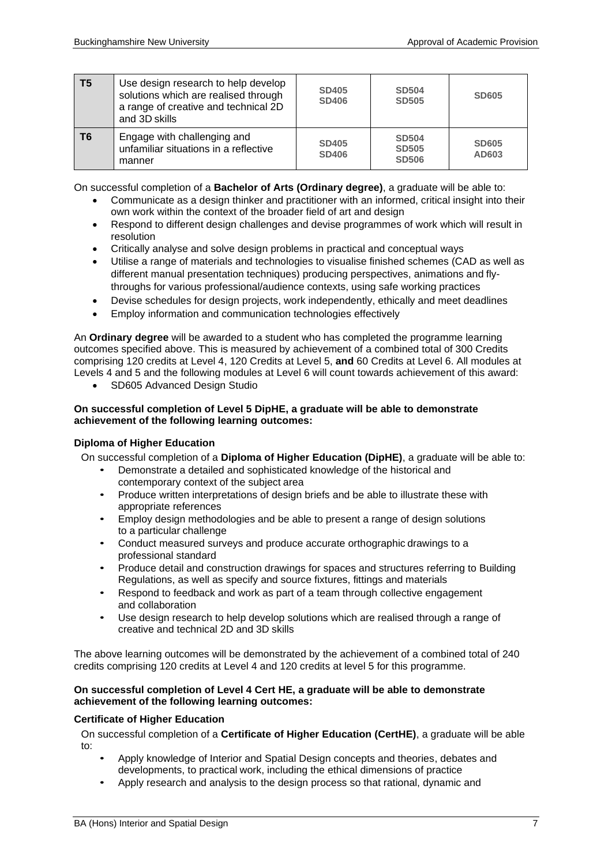| <b>T5</b> | Use design research to help develop<br>solutions which are realised through<br>a range of creative and technical 2D<br>and 3D skills | <b>SD405</b><br><b>SD406</b> | <b>SD504</b><br><b>SD505</b>                 | <b>SD605</b>          |
|-----------|--------------------------------------------------------------------------------------------------------------------------------------|------------------------------|----------------------------------------------|-----------------------|
| T6        | Engage with challenging and<br>unfamiliar situations in a reflective<br>manner                                                       | <b>SD405</b><br><b>SD406</b> | <b>SD504</b><br><b>SD505</b><br><b>SD506</b> | <b>SD605</b><br>AD603 |

On successful completion of a **Bachelor of Arts (Ordinary degree)**, a graduate will be able to:

- Communicate as a design thinker and practitioner with an informed, critical insight into their own work within the context of the broader field of art and design
- Respond to different design challenges and devise programmes of work which will result in resolution
- Critically analyse and solve design problems in practical and conceptual ways
- Utilise a range of materials and technologies to visualise finished schemes (CAD as well as different manual presentation techniques) producing perspectives, animations and flythroughs for various professional/audience contexts, using safe working practices
- Devise schedules for design projects, work independently, ethically and meet deadlines
- Employ information and communication technologies effectively

An **Ordinary degree** will be awarded to a student who has completed the programme learning outcomes specified above. This is measured by achievement of a combined total of 300 Credits comprising 120 credits at Level 4, 120 Credits at Level 5, **and** 60 Credits at Level 6. All modules at Levels 4 and 5 and the following modules at Level 6 will count towards achievement of this award:

• SD605 Advanced Design Studio

#### **On successful completion of Level 5 DipHE, a graduate will be able to demonstrate achievement of the following learning outcomes:**

#### **Diploma of Higher Education**

On successful completion of a **Diploma of Higher Education (DipHE)**, a graduate will be able to:

- Demonstrate a detailed and sophisticated knowledge of the historical and contemporary context of the subject area
- Produce written interpretations of design briefs and be able to illustrate these with appropriate references
- Employ design methodologies and be able to present a range of design solutions to a particular challenge
- Conduct measured surveys and produce accurate orthographic drawings to a professional standard
- Produce detail and construction drawings for spaces and structures referring to Building Regulations, as well as specify and source fixtures, fittings and materials
- Respond to feedback and work as part of a team through collective engagement and collaboration
- Use design research to help develop solutions which are realised through a range of creative and technical 2D and 3D skills

The above learning outcomes will be demonstrated by the achievement of a combined total of 240 credits comprising 120 credits at Level 4 and 120 credits at level 5 for this programme.

#### **On successful completion of Level 4 Cert HE, a graduate will be able to demonstrate achievement of the following learning outcomes:**

#### **Certificate of Higher Education**

On successful completion of a **Certificate of Higher Education (CertHE)**, a graduate will be able to:

- Apply knowledge of Interior and Spatial Design concepts and theories, debates and developments, to practical work, including the ethical dimensions of practice
- Apply research and analysis to the design process so that rational, dynamic and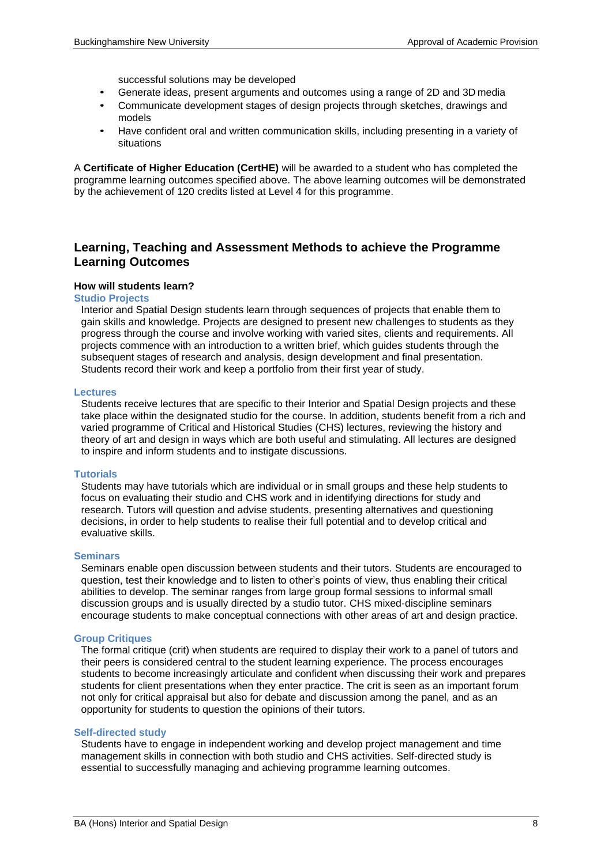successful solutions may be developed

- Generate ideas, present arguments and outcomes using a range of 2D and 3D media
- Communicate development stages of design projects through sketches, drawings and models
- Have confident oral and written communication skills, including presenting in a variety of situations

A **Certificate of Higher Education (CertHE)** will be awarded to a student who has completed the programme learning outcomes specified above. The above learning outcomes will be demonstrated by the achievement of 120 credits listed at Level 4 for this programme.

### **Learning, Teaching and Assessment Methods to achieve the Programme Learning Outcomes**

#### **How will students learn?**

#### **Studio Projects**

Interior and Spatial Design students learn through sequences of projects that enable them to gain skills and knowledge. Projects are designed to present new challenges to students as they progress through the course and involve working with varied sites, clients and requirements. All projects commence with an introduction to a written brief, which guides students through the subsequent stages of research and analysis, design development and final presentation. Students record their work and keep a portfolio from their first year of study.

#### **Lectures**

Students receive lectures that are specific to their Interior and Spatial Design projects and these take place within the designated studio for the course. In addition, students benefit from a rich and varied programme of Critical and Historical Studies (CHS) lectures, reviewing the history and theory of art and design in ways which are both useful and stimulating. All lectures are designed to inspire and inform students and to instigate discussions.

#### **Tutorials**

Students may have tutorials which are individual or in small groups and these help students to focus on evaluating their studio and CHS work and in identifying directions for study and research. Tutors will question and advise students, presenting alternatives and questioning decisions, in order to help students to realise their full potential and to develop critical and evaluative skills.

#### **Seminars**

Seminars enable open discussion between students and their tutors. Students are encouraged to question, test their knowledge and to listen to other's points of view, thus enabling their critical abilities to develop. The seminar ranges from large group formal sessions to informal small discussion groups and is usually directed by a studio tutor. CHS mixed-discipline seminars encourage students to make conceptual connections with other areas of art and design practice.

#### **Group Critiques**

The formal critique (crit) when students are required to display their work to a panel of tutors and their peers is considered central to the student learning experience. The process encourages students to become increasingly articulate and confident when discussing their work and prepares students for client presentations when they enter practice. The crit is seen as an important forum not only for critical appraisal but also for debate and discussion among the panel, and as an opportunity for students to question the opinions of their tutors.

#### **Self-directed study**

Students have to engage in independent working and develop project management and time management skills in connection with both studio and CHS activities. Self-directed study is essential to successfully managing and achieving programme learning outcomes.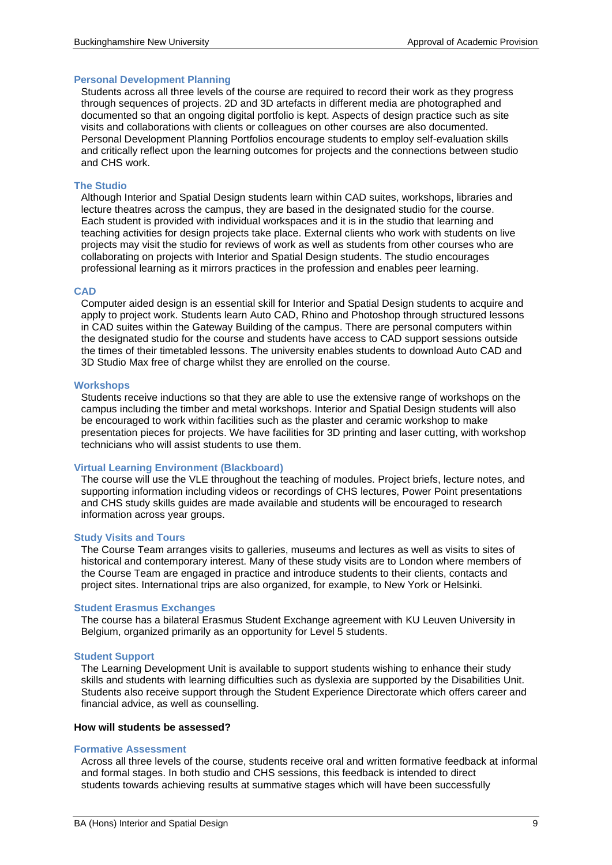#### **Personal Development Planning**

Students across all three levels of the course are required to record their work as they progress through sequences of projects. 2D and 3D artefacts in different media are photographed and documented so that an ongoing digital portfolio is kept. Aspects of design practice such as site visits and collaborations with clients or colleagues on other courses are also documented. Personal Development Planning Portfolios encourage students to employ self-evaluation skills and critically reflect upon the learning outcomes for projects and the connections between studio and CHS work.

#### **The Studio**

Although Interior and Spatial Design students learn within CAD suites, workshops, libraries and lecture theatres across the campus, they are based in the designated studio for the course. Each student is provided with individual workspaces and it is in the studio that learning and teaching activities for design projects take place. External clients who work with students on live projects may visit the studio for reviews of work as well as students from other courses who are collaborating on projects with Interior and Spatial Design students. The studio encourages professional learning as it mirrors practices in the profession and enables peer learning.

#### **CAD**

Computer aided design is an essential skill for Interior and Spatial Design students to acquire and apply to project work. Students learn Auto CAD, Rhino and Photoshop through structured lessons in CAD suites within the Gateway Building of the campus. There are personal computers within the designated studio for the course and students have access to CAD support sessions outside the times of their timetabled lessons. The university enables students to download Auto CAD and 3D Studio Max free of charge whilst they are enrolled on the course.

#### **Workshops**

Students receive inductions so that they are able to use the extensive range of workshops on the campus including the timber and metal workshops. Interior and Spatial Design students will also be encouraged to work within facilities such as the plaster and ceramic workshop to make presentation pieces for projects. We have facilities for 3D printing and laser cutting, with workshop technicians who will assist students to use them.

#### **Virtual Learning Environment (Blackboard)**

The course will use the VLE throughout the teaching of modules. Project briefs, lecture notes, and supporting information including videos or recordings of CHS lectures, Power Point presentations and CHS study skills guides are made available and students will be encouraged to research information across year groups.

#### **Study Visits and Tours**

The Course Team arranges visits to galleries, museums and lectures as well as visits to sites of historical and contemporary interest. Many of these study visits are to London where members of the Course Team are engaged in practice and introduce students to their clients, contacts and project sites. International trips are also organized, for example, to New York or Helsinki.

#### **Student Erasmus Exchanges**

The course has a bilateral Erasmus Student Exchange agreement with KU Leuven University in Belgium, organized primarily as an opportunity for Level 5 students.

#### **Student Support**

The Learning Development Unit is available to support students wishing to enhance their study skills and students with learning difficulties such as dyslexia are supported by the Disabilities Unit. Students also receive support through the Student Experience Directorate which offers career and financial advice, as well as counselling.

#### **How will students be assessed?**

#### **Formative Assessment**

Across all three levels of the course, students receive oral and written formative feedback at informal and formal stages. In both studio and CHS sessions, this feedback is intended to direct students towards achieving results at summative stages which will have been successfully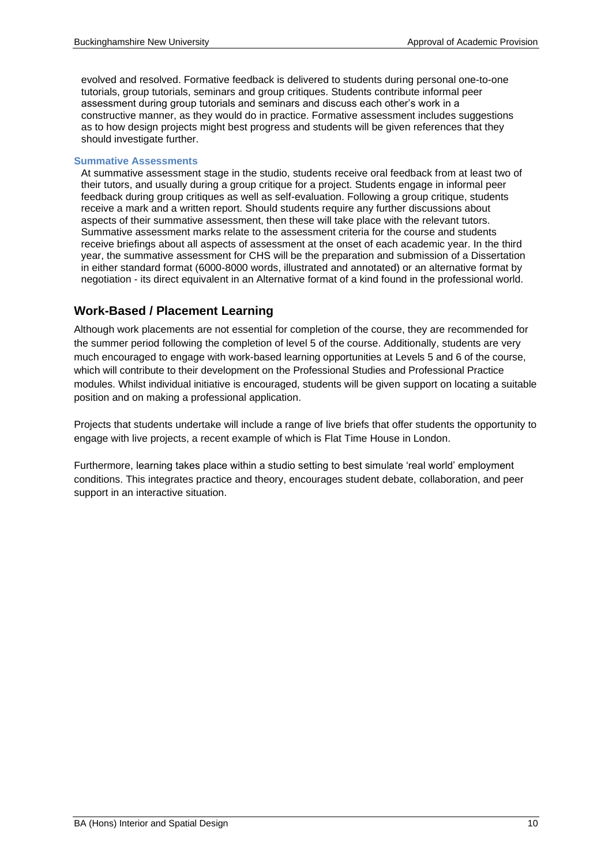evolved and resolved. Formative feedback is delivered to students during personal one-to-one tutorials, group tutorials, seminars and group critiques. Students contribute informal peer assessment during group tutorials and seminars and discuss each other's work in a constructive manner, as they would do in practice. Formative assessment includes suggestions as to how design projects might best progress and students will be given references that they should investigate further.

#### **Summative Assessments**

At summative assessment stage in the studio, students receive oral feedback from at least two of their tutors, and usually during a group critique for a project. Students engage in informal peer feedback during group critiques as well as self-evaluation. Following a group critique, students receive a mark and a written report. Should students require any further discussions about aspects of their summative assessment, then these will take place with the relevant tutors. Summative assessment marks relate to the assessment criteria for the course and students receive briefings about all aspects of assessment at the onset of each academic year. In the third year, the summative assessment for CHS will be the preparation and submission of a Dissertation in either standard format (6000-8000 words, illustrated and annotated) or an alternative format by negotiation - its direct equivalent in an Alternative format of a kind found in the professional world.

## **Work-Based / Placement Learning**

Although work placements are not essential for completion of the course, they are recommended for the summer period following the completion of level 5 of the course. Additionally, students are very much encouraged to engage with work-based learning opportunities at Levels 5 and 6 of the course, which will contribute to their development on the Professional Studies and Professional Practice modules. Whilst individual initiative is encouraged, students will be given support on locating a suitable position and on making a professional application.

Projects that students undertake will include a range of live briefs that offer students the opportunity to engage with live projects, a recent example of which is Flat Time House in London.

Furthermore, learning takes place within a studio setting to best simulate 'real world' employment conditions. This integrates practice and theory, encourages student debate, collaboration, and peer support in an interactive situation.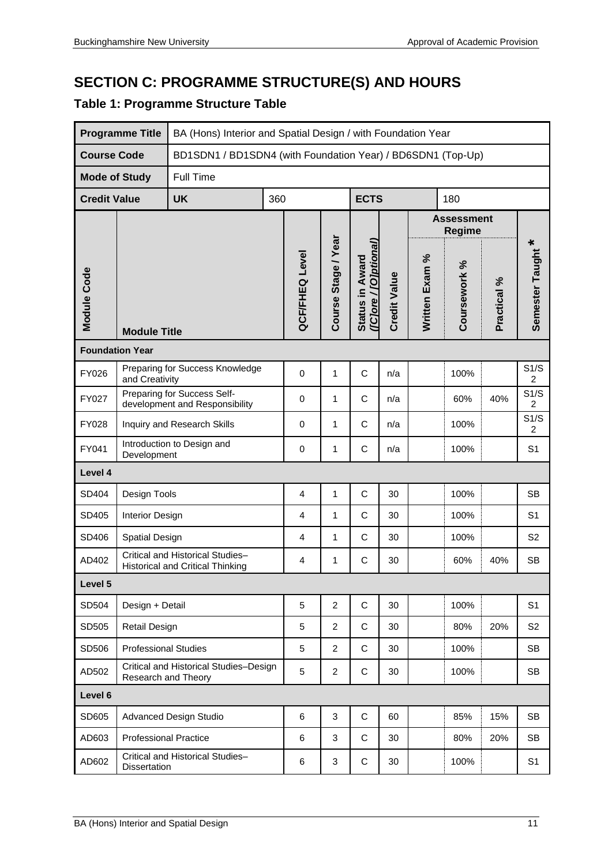# **SECTION C: PROGRAMME STRUCTURE(S) AND HOURS**

## **Table 1: Programme Structure Table**

|                        | <b>Programme Title</b>                            |                                                                             | BA (Hons) Interior and Spatial Design / with Foundation Year |                |                     |                                          |                     |                |                             |                        |                   |  |  |  |  |
|------------------------|---------------------------------------------------|-----------------------------------------------------------------------------|--------------------------------------------------------------|----------------|---------------------|------------------------------------------|---------------------|----------------|-----------------------------|------------------------|-------------------|--|--|--|--|
| <b>Course Code</b>     |                                                   | BD1SDN1 / BD1SDN4 (with Foundation Year) / BD6SDN1 (Top-Up)                 |                                                              |                |                     |                                          |                     |                |                             |                        |                   |  |  |  |  |
| <b>Mode of Study</b>   |                                                   | <b>Full Time</b>                                                            |                                                              |                |                     |                                          |                     |                |                             |                        |                   |  |  |  |  |
| <b>Credit Value</b>    |                                                   | <b>UK</b>                                                                   | 360                                                          |                |                     | <b>ECTS</b>                              |                     |                | 180                         |                        |                   |  |  |  |  |
|                        |                                                   |                                                                             |                                                              |                |                     |                                          |                     |                | <b>Assessment</b><br>Regime |                        |                   |  |  |  |  |
| Module Code            | <b>Module Title</b>                               |                                                                             |                                                              | QCF/FHEQ Level | Course Stage / Year | ([C]ore / [O]ptional]<br>Status in Award | <b>Credit Value</b> | Written Exam % | Coursework %                | Practical %            | Semester Taught * |  |  |  |  |
| <b>Foundation Year</b> |                                                   |                                                                             |                                                              |                |                     |                                          |                     |                |                             |                        |                   |  |  |  |  |
| FY026                  | Preparing for Success Knowledge<br>and Creativity | 0                                                                           | $\mathbf{1}$                                                 | C              | n/a                 |                                          | 100%                |                | S1/S<br>2                   |                        |                   |  |  |  |  |
| FY027                  |                                                   | Preparing for Success Self-<br>development and Responsibility               | 0                                                            | 1              | C                   | n/a                                      |                     | 60%            | 40%                         | S1/S<br>$\overline{c}$ |                   |  |  |  |  |
| FY028                  |                                                   | Inquiry and Research Skills                                                 | 0                                                            | 1              | C                   | n/a                                      |                     | 100%           |                             | S1/S<br>$\overline{c}$ |                   |  |  |  |  |
| FY041                  | Development                                       | Introduction to Design and                                                  | $\mathbf 0$                                                  | 1              | C                   | n/a                                      |                     | 100%           |                             | S <sub>1</sub>         |                   |  |  |  |  |
| Level 4                |                                                   |                                                                             |                                                              |                |                     |                                          |                     |                |                             |                        |                   |  |  |  |  |
| SD404                  | Design Tools                                      |                                                                             |                                                              | $\overline{4}$ | 1                   | C                                        | 30                  |                | 100%                        |                        | <b>SB</b>         |  |  |  |  |
| SD405                  | Interior Design                                   |                                                                             |                                                              | 4              | 1                   | $\mathsf{C}$                             | 30                  |                | 100%                        |                        | S <sub>1</sub>    |  |  |  |  |
| SD406                  | Spatial Design                                    |                                                                             |                                                              | 4              | 1                   | C                                        | 30                  |                | 100%                        |                        | S <sub>2</sub>    |  |  |  |  |
| AD402                  |                                                   | Critical and Historical Studies-<br><b>Historical and Critical Thinking</b> |                                                              | 4              | 1                   | C                                        | 30                  |                | 60%                         | 40%                    | <b>SB</b>         |  |  |  |  |
| Level 5                |                                                   |                                                                             |                                                              |                |                     |                                          |                     |                |                             |                        |                   |  |  |  |  |
| SD504                  | Design + Detail                                   |                                                                             |                                                              | 5              | $\overline{2}$      | $\mathsf C$                              | 30                  |                | 100%                        |                        | S <sub>1</sub>    |  |  |  |  |
| SD505                  | <b>Retail Design</b>                              |                                                                             |                                                              | 5              | 2                   | C                                        | 30                  |                | 80%                         | 20%                    | S <sub>2</sub>    |  |  |  |  |
| SD506                  | <b>Professional Studies</b>                       |                                                                             |                                                              | 5              | $\overline{2}$      | C                                        | 30                  |                | 100%                        |                        | <b>SB</b>         |  |  |  |  |
| AD502                  | Research and Theory                               | Critical and Historical Studies-Design                                      | 5                                                            | $\overline{2}$ | C                   | 30                                       |                     | 100%           |                             | <b>SB</b>              |                   |  |  |  |  |
| Level 6                |                                                   |                                                                             |                                                              |                |                     |                                          |                     |                |                             |                        |                   |  |  |  |  |
| SD605                  |                                                   | <b>Advanced Design Studio</b>                                               |                                                              |                |                     | $\mathsf C$                              | 60                  |                | 85%                         | 15%                    | <b>SB</b>         |  |  |  |  |
| AD603                  | <b>Professional Practice</b>                      |                                                                             |                                                              | 6              | 3                   | C                                        | 30                  |                | 80%                         | 20%                    | <b>SB</b>         |  |  |  |  |
| AD602                  | Dissertation                                      | Critical and Historical Studies-                                            |                                                              | 6              | 3                   | C                                        | 30                  |                | 100%                        |                        | S <sub>1</sub>    |  |  |  |  |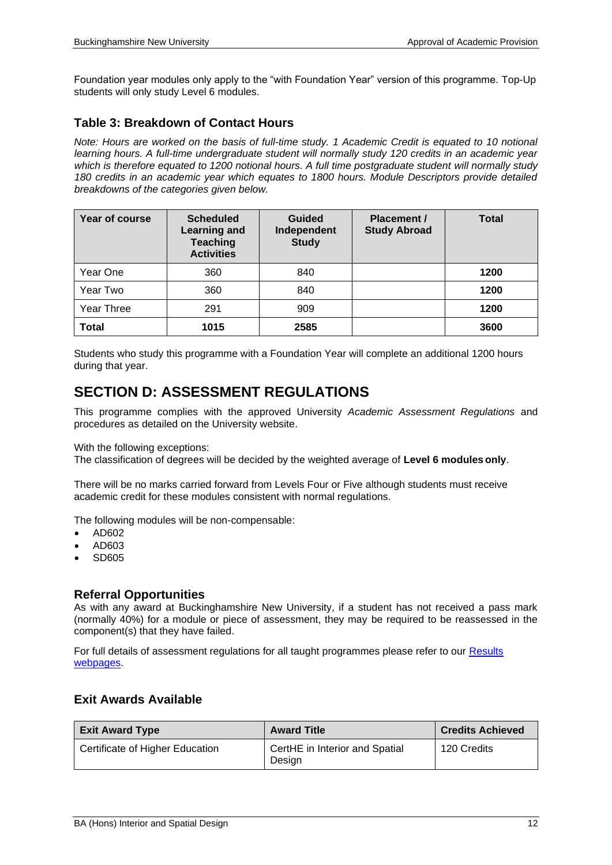Foundation year modules only apply to the "with Foundation Year" version of this programme. Top-Up students will only study Level 6 modules.

### **Table 3: Breakdown of Contact Hours**

*Note: Hours are worked on the basis of full-time study. 1 Academic Credit is equated to 10 notional learning hours. A full-time undergraduate student will normally study 120 credits in an academic year which is therefore equated to 1200 notional hours. A full time postgraduate student will normally study 180 credits in an academic year which equates to 1800 hours. Module Descriptors provide detailed breakdowns of the categories given below.*

| Year of course | <b>Scheduled</b><br><b>Learning and</b><br><b>Teaching</b><br><b>Activities</b> | <b>Guided</b><br>Independent<br><b>Study</b> | <b>Placement /</b><br><b>Study Abroad</b> | <b>Total</b> |
|----------------|---------------------------------------------------------------------------------|----------------------------------------------|-------------------------------------------|--------------|
| Year One       | 360                                                                             | 840                                          |                                           | 1200         |
| Year Two       | 360                                                                             | 840                                          |                                           | 1200         |
| Year Three     | 291                                                                             | 909                                          |                                           | 1200         |
| <b>Total</b>   | 1015                                                                            | 2585                                         |                                           | 3600         |

Students who study this programme with a Foundation Year will complete an additional 1200 hours during that year.

## **SECTION D: ASSESSMENT REGULATIONS**

This programme complies with the approved University *Academic Assessment Regulations* and procedures as detailed on the University website.

With the following exceptions:

The classification of degrees will be decided by the weighted average of **Level 6 modulesonly**.

There will be no marks carried forward from Levels Four or Five although students must receive academic credit for these modules consistent with normal regulations.

The following modules will be non-compensable:

- AD602
- AD603
- SD605

### **Referral Opportunities**

As with any award at Buckinghamshire New University, if a student has not received a pass mark (normally 40%) for a module or piece of assessment, they may be required to be reassessed in the component(s) that they have failed.

For full details of assessment regulations for all taught programmes please refer to our [Results](https://bucks.ac.uk/students/academicadvice/results)  [webpages.](https://bucks.ac.uk/students/academicadvice/results)

### **Exit Awards Available**

| <b>Exit Award Type</b>          | <b>Award Title</b>                       | <b>Credits Achieved</b> |
|---------------------------------|------------------------------------------|-------------------------|
| Certificate of Higher Education | CertHE in Interior and Spatial<br>Desian | 120 Credits             |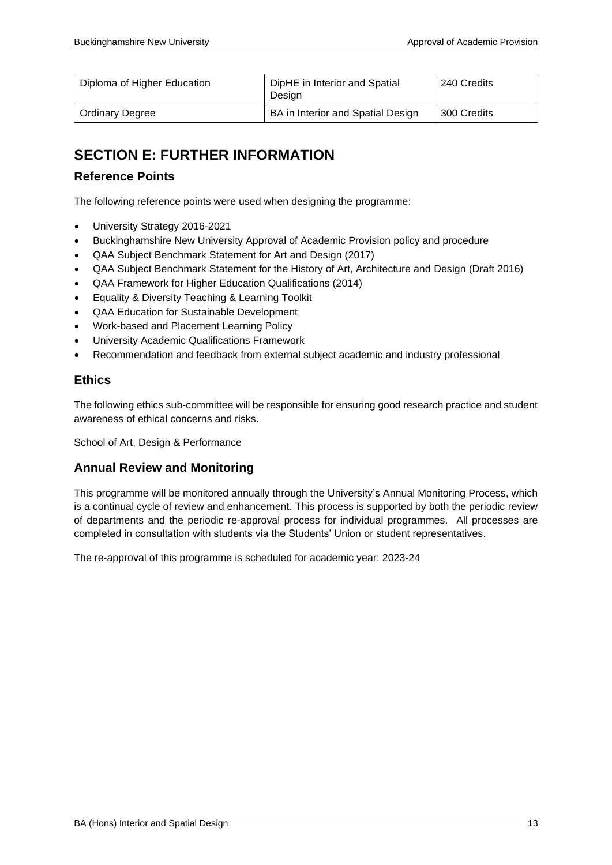| Diploma of Higher Education | DipHE in Interior and Spatial<br>Desian | 240 Credits |
|-----------------------------|-----------------------------------------|-------------|
| <b>Ordinary Degree</b>      | BA in Interior and Spatial Design       | 300 Credits |

## **SECTION E: FURTHER INFORMATION**

### **Reference Points**

The following reference points were used when designing the programme:

- University Strategy 2016-2021
- Buckinghamshire New University Approval of Academic Provision policy and procedure
- QAA Subject Benchmark Statement for Art and Design (2017)
- QAA Subject Benchmark Statement for the History of Art, Architecture and Design (Draft 2016)
- QAA Framework for Higher Education Qualifications (2014)
- Equality & Diversity Teaching & Learning Toolkit
- QAA Education for Sustainable Development
- Work-based and Placement Learning Policy
- University Academic Qualifications Framework
- Recommendation and feedback from external subject academic and industry professional

### **Ethics**

The following ethics sub-committee will be responsible for ensuring good research practice and student awareness of ethical concerns and risks.

School of Art, Design & Performance

### **Annual Review and Monitoring**

This programme will be monitored annually through the University's Annual Monitoring Process, which is a continual cycle of review and enhancement. This process is supported by both the periodic review of departments and the periodic re-approval process for individual programmes. All processes are completed in consultation with students via the Students' Union or student representatives.

The re-approval of this programme is scheduled for academic year: 2023-24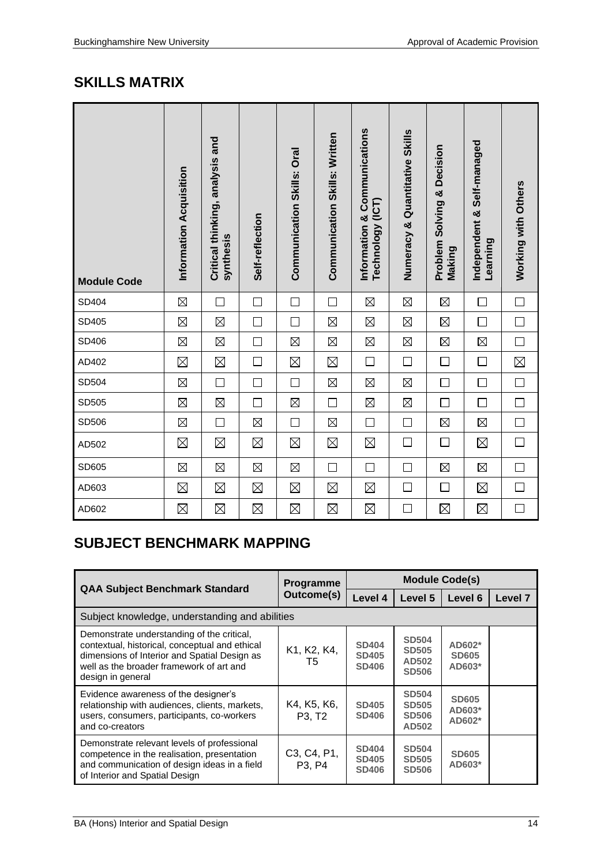## **SKILLS MATRIX**

| <b>Module Code</b> | Information Acquisition | Critical thinking, analysis and<br>synthesis | Self-reflection | <b>Communication Skills: Oral</b> | <b>Communication Skills: Written</b> | Information & Communications<br>Technology (ICT) | Numeracy & Quantitative Skills | <b>Problem Solving &amp; Decision</b><br>Making | Independent & Self-managed<br>Learning | Working with Others |
|--------------------|-------------------------|----------------------------------------------|-----------------|-----------------------------------|--------------------------------------|--------------------------------------------------|--------------------------------|-------------------------------------------------|----------------------------------------|---------------------|
| SD404              | $\boxtimes$             | $\Box$                                       | $\Box$          | $\Box$                            | $\Box$                               | $\boxtimes$                                      | $\boxtimes$                    | $\boxtimes$                                     | $\Box$                                 | $\Box$              |
| SD405              | $\boxtimes$             | $\boxtimes$                                  | $\Box$          | $\Box$                            | $\boxtimes$                          | $\boxtimes$                                      | $\boxtimes$                    | $\boxtimes$                                     | $\Box$                                 | $\Box$              |
| SD406              | $\boxtimes$             | $\boxtimes$                                  | $\Box$          | $\boxtimes$                       | $\boxtimes$                          | $\boxtimes$                                      | $\boxtimes$                    | $\boxtimes$                                     | $\boxtimes$                            | $\Box$              |
| AD402              | $\boxtimes$             | $\boxtimes$                                  | $\Box$          | $\boxtimes$                       | $\boxtimes$                          | $\Box$                                           | $\Box$                         | $\Box$                                          | $\Box$                                 | $\boxtimes$         |
| SD504              | $\boxtimes$             | $\Box$                                       | $\Box$          | $\Box$                            | $\boxtimes$                          | $\boxtimes$                                      | $\boxtimes$                    | $\Box$                                          | $\Box$                                 | $\Box$              |
| SD505              | $\boxtimes$             | $\boxtimes$                                  | $\Box$          | $\boxtimes$                       | $\Box$                               | $\boxtimes$                                      | $\boxtimes$                    | $\Box$                                          | $\Box$                                 | $\Box$              |
| SD506              | $\boxtimes$             | $\Box$                                       | $\boxtimes$     | $\Box$                            | $\boxtimes$                          | $\Box$                                           | □                              | $\boxtimes$                                     | $\boxtimes$                            | $\Box$              |
| AD502              | $\boxtimes$             | $\boxtimes$                                  | $\boxtimes$     | $\boxtimes$                       | $\boxtimes$                          | $\boxtimes$                                      | $\Box$                         | $\Box$                                          | $\boxtimes$                            | $\Box$              |
| SD605              | $\boxtimes$             | $\boxtimes$                                  | $\boxtimes$     | $\boxtimes$                       | $\Box$                               | $\Box$                                           | $\Box$                         | $\boxtimes$                                     | $\boxtimes$                            | $\Box$              |
| AD603              | $\boxtimes$             | $\boxtimes$                                  | $\boxtimes$     | $\boxtimes$                       | $\boxtimes$                          | $\boxtimes$                                      | $\Box$                         | $\Box$                                          | $\boxtimes$                            | $\Box$              |
| AD602              | $\boxtimes$             | $\boxtimes$                                  | $\boxtimes$     | $\boxtimes$                       | $\boxtimes$                          | $\boxtimes$                                      | $\Box$                         | $\boxtimes$                                     | $\boxtimes$                            | $\Box$              |

## **SUBJECT BENCHMARK MAPPING**

|                                                                                                                                                                                                               | <b>Programme</b>                               | <b>Module Code(s)</b>                        |                                                       |                                    |                    |  |  |  |  |
|---------------------------------------------------------------------------------------------------------------------------------------------------------------------------------------------------------------|------------------------------------------------|----------------------------------------------|-------------------------------------------------------|------------------------------------|--------------------|--|--|--|--|
| <b>QAA Subject Benchmark Standard</b>                                                                                                                                                                         | Outcome(s)                                     | Level 4                                      | Level 5                                               | Level 6                            | Level <sub>7</sub> |  |  |  |  |
| Subject knowledge, understanding and abilities                                                                                                                                                                |                                                |                                              |                                                       |                                    |                    |  |  |  |  |
| Demonstrate understanding of the critical,<br>contextual, historical, conceptual and ethical<br>dimensions of Interior and Spatial Design as<br>well as the broader framework of art and<br>design in general | K1, K2, K4,<br>T5                              | <b>SD404</b><br><b>SD405</b><br><b>SD406</b> | <b>SD504</b><br><b>SD505</b><br>AD502<br><b>SD506</b> | AD602*<br><b>SD605</b><br>$AD603*$ |                    |  |  |  |  |
| Evidence awareness of the designer's<br>relationship with audiences, clients, markets,<br>users, consumers, participants, co-workers<br>and co-creators                                                       | K4, K5, K6,<br>P <sub>3</sub> . T <sub>2</sub> | <b>SD405</b><br><b>SD406</b>                 | <b>SD504</b><br><b>SD505</b><br><b>SD506</b><br>AD502 | <b>SD605</b><br>$AD603*$<br>AD602* |                    |  |  |  |  |
| Demonstrate relevant levels of professional<br>competence in the realisation, presentation<br>and communication of design ideas in a field<br>of Interior and Spatial Design                                  | C3, C4, P1,<br>P <sub>3</sub> . P <sub>4</sub> | <b>SD404</b><br><b>SD405</b><br><b>SD406</b> | <b>SD504</b><br><b>SD505</b><br><b>SD506</b>          | <b>SD605</b><br>AD603*             |                    |  |  |  |  |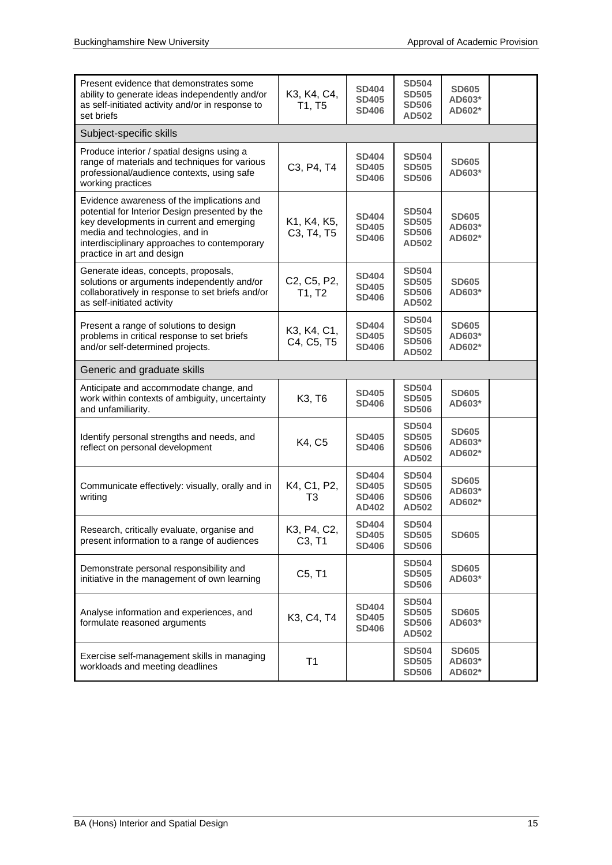| Present evidence that demonstrates some<br>ability to generate ideas independently and/or<br>as self-initiated activity and/or in response to<br>set briefs                                                                                              | K3, K4, C4,<br>T1, T5     | <b>SD404</b><br><b>SD405</b><br><b>SD406</b>          | <b>SD504</b><br><b>SD505</b><br><b>SD506</b><br>AD502 | <b>SD605</b><br>AD603*<br>AD602* |  |
|----------------------------------------------------------------------------------------------------------------------------------------------------------------------------------------------------------------------------------------------------------|---------------------------|-------------------------------------------------------|-------------------------------------------------------|----------------------------------|--|
| Subject-specific skills                                                                                                                                                                                                                                  |                           |                                                       |                                                       |                                  |  |
| Produce interior / spatial designs using a<br>range of materials and techniques for various<br>professional/audience contexts, using safe<br>working practices                                                                                           | C3, P4, T4                | <b>SD404</b><br><b>SD405</b><br><b>SD406</b>          | <b>SD504</b><br><b>SD505</b><br><b>SD506</b>          | <b>SD605</b><br>AD603*           |  |
| Evidence awareness of the implications and<br>potential for Interior Design presented by the<br>key developments in current and emerging<br>media and technologies, and in<br>interdisciplinary approaches to contemporary<br>practice in art and design | K1, K4, K5,<br>C3, T4, T5 | <b>SD404</b><br><b>SD405</b><br><b>SD406</b>          | <b>SD504</b><br><b>SD505</b><br><b>SD506</b><br>AD502 | <b>SD605</b><br>AD603*<br>AD602* |  |
| Generate ideas, concepts, proposals,<br>solutions or arguments independently and/or<br>collaboratively in response to set briefs and/or<br>as self-initiated activity                                                                                    | C2, C5, P2,<br>T1, T2     | <b>SD404</b><br><b>SD405</b><br><b>SD406</b>          | <b>SD504</b><br><b>SD505</b><br><b>SD506</b><br>AD502 | <b>SD605</b><br>AD603*           |  |
| Present a range of solutions to design<br>problems in critical response to set briefs<br>and/or self-determined projects.                                                                                                                                | K3, K4, C1,<br>C4, C5, T5 | <b>SD404</b><br><b>SD405</b><br><b>SD406</b>          | <b>SD504</b><br><b>SD505</b><br><b>SD506</b><br>AD502 | <b>SD605</b><br>AD603*<br>AD602* |  |
| Generic and graduate skills                                                                                                                                                                                                                              |                           |                                                       |                                                       |                                  |  |
| Anticipate and accommodate change, and<br>work within contexts of ambiguity, uncertainty<br>and unfamiliarity.                                                                                                                                           | K3, T6                    | <b>SD405</b><br><b>SD406</b>                          | <b>SD504</b><br><b>SD505</b><br><b>SD506</b>          | <b>SD605</b><br>AD603*           |  |
| Identify personal strengths and needs, and<br>reflect on personal development                                                                                                                                                                            | K4, C5                    | <b>SD405</b><br><b>SD406</b>                          | <b>SD504</b><br><b>SD505</b><br><b>SD506</b><br>AD502 | <b>SD605</b><br>AD603*<br>AD602* |  |
| Communicate effectively: visually, orally and in<br>writing                                                                                                                                                                                              | K4, C1, P2,<br>T3         | <b>SD404</b><br><b>SD405</b><br><b>SD406</b><br>AD402 | <b>SD504</b><br><b>SD505</b><br><b>SD506</b><br>AD502 | <b>SD605</b><br>AD603*<br>AD602* |  |
| Research, critically evaluate, organise and<br>present information to a range of audiences                                                                                                                                                               | K3, P4, C2,<br>C3, T1     | <b>SD404</b><br><b>SD405</b><br><b>SD406</b>          | <b>SD504</b><br><b>SD505</b><br><b>SD506</b>          | <b>SD605</b>                     |  |
| Demonstrate personal responsibility and<br>initiative in the management of own learning                                                                                                                                                                  | C5, T1                    |                                                       | <b>SD504</b><br><b>SD505</b><br><b>SD506</b>          | <b>SD605</b><br>AD603*           |  |
| Analyse information and experiences, and<br>formulate reasoned arguments                                                                                                                                                                                 | K3, C4, T4                | <b>SD404</b><br><b>SD405</b><br><b>SD406</b>          | <b>SD504</b><br><b>SD505</b><br><b>SD506</b><br>AD502 | <b>SD605</b><br>AD603*           |  |
| Exercise self-management skills in managing<br>workloads and meeting deadlines                                                                                                                                                                           | T1                        |                                                       | <b>SD504</b><br><b>SD505</b><br><b>SD506</b>          | <b>SD605</b><br>AD603*<br>AD602* |  |